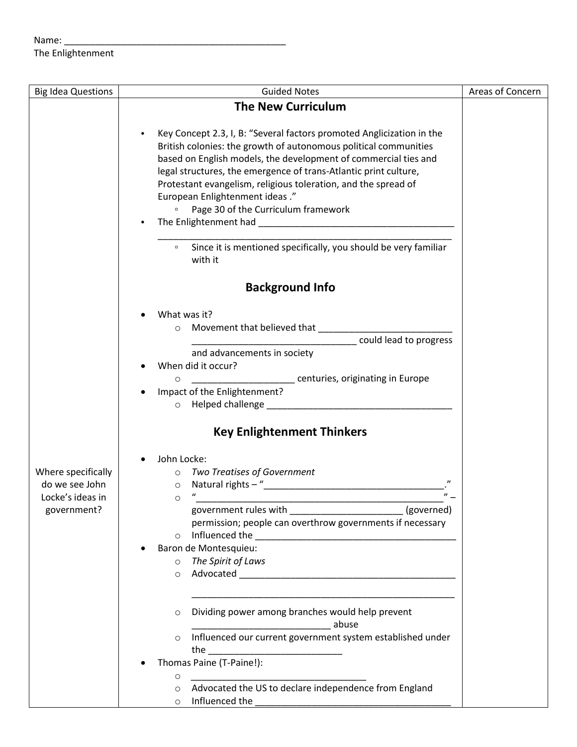## Name: $\_$ The Enlightenment

| <b>Big Idea Questions</b> | <b>Guided Notes</b>                                                                                                                                                                 | Areas of Concern |
|---------------------------|-------------------------------------------------------------------------------------------------------------------------------------------------------------------------------------|------------------|
|                           | <b>The New Curriculum</b>                                                                                                                                                           |                  |
|                           |                                                                                                                                                                                     |                  |
|                           | Key Concept 2.3, I, B: "Several factors promoted Anglicization in the<br>$\bullet$                                                                                                  |                  |
|                           | British colonies: the growth of autonomous political communities                                                                                                                    |                  |
|                           | based on English models, the development of commercial ties and                                                                                                                     |                  |
|                           | legal structures, the emergence of trans-Atlantic print culture,                                                                                                                    |                  |
|                           | Protestant evangelism, religious toleration, and the spread of                                                                                                                      |                  |
|                           | European Enlightenment ideas."                                                                                                                                                      |                  |
|                           | Page 30 of the Curriculum framework<br>0                                                                                                                                            |                  |
|                           |                                                                                                                                                                                     |                  |
|                           |                                                                                                                                                                                     |                  |
|                           | <sup>o</sup> Since it is mentioned specifically, you should be very familiar                                                                                                        |                  |
|                           | with it                                                                                                                                                                             |                  |
|                           |                                                                                                                                                                                     |                  |
|                           | <b>Background Info</b>                                                                                                                                                              |                  |
|                           |                                                                                                                                                                                     |                  |
|                           | What was it?                                                                                                                                                                        |                  |
|                           | $\circ$                                                                                                                                                                             |                  |
|                           | could lead to progress                                                                                                                                                              |                  |
|                           | and advancements in society                                                                                                                                                         |                  |
|                           | When did it occur?                                                                                                                                                                  |                  |
|                           | _____________________________ centuries, originating in Europe                                                                                                                      |                  |
|                           | O<br>Impact of the Enlightenment?                                                                                                                                                   |                  |
|                           |                                                                                                                                                                                     |                  |
|                           |                                                                                                                                                                                     |                  |
|                           | <b>Key Enlightenment Thinkers</b>                                                                                                                                                   |                  |
|                           |                                                                                                                                                                                     |                  |
|                           | John Locke:<br>٠                                                                                                                                                                    |                  |
| Where specifically        | o Two Treatises of Government                                                                                                                                                       |                  |
| do we see John            | $\circ$                                                                                                                                                                             |                  |
| Locke's ideas in          | $\circ$                                                                                                                                                                             |                  |
| government?               | <u> 1989 - Johann Barn, mars ann an t-Amhair an t-Amhair an t-Amhair an t-Amhair an t-Amhair an t-Amhair an t-Amh</u><br>government rules with _________________________ (governed) |                  |
|                           | permission; people can overthrow governments if necessary                                                                                                                           |                  |
|                           | $\circ$                                                                                                                                                                             |                  |
|                           | Baron de Montesquieu:                                                                                                                                                               |                  |
|                           | o The Spirit of Laws                                                                                                                                                                |                  |
|                           | $\circ$                                                                                                                                                                             |                  |
|                           |                                                                                                                                                                                     |                  |
|                           |                                                                                                                                                                                     |                  |
|                           | Dividing power among branches would help prevent<br>O                                                                                                                               |                  |
|                           | abuse                                                                                                                                                                               |                  |
|                           | Influenced our current government system established under<br>$\circ$                                                                                                               |                  |
|                           | the                                                                                                                                                                                 |                  |
|                           | Thomas Paine (T-Paine!):                                                                                                                                                            |                  |
|                           | O                                                                                                                                                                                   |                  |
|                           | Advocated the US to declare independence from England<br>$\circ$                                                                                                                    |                  |
|                           | Influenced the<br>$\circ$                                                                                                                                                           |                  |
|                           |                                                                                                                                                                                     |                  |